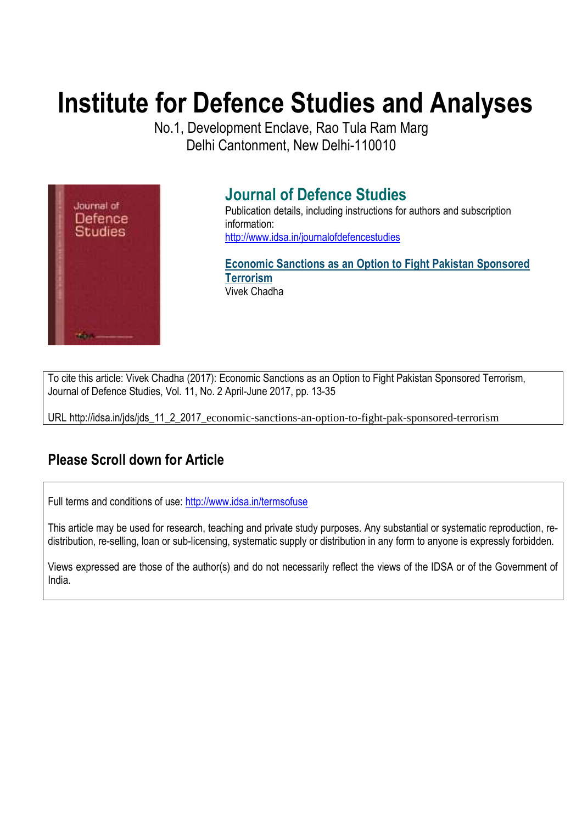# **Institute for Defence Studies and Analyses**

No.1, Development Enclave, Rao Tula Ram Marg Delhi Cantonment, New Delhi-110010



# **Journal of Defence Studies**

Publication details, including instructions for authors and subscription information: http://www.idsa.in/journalofdefencestudies

**Economic Sanctions as an Option to Fight Pakistan Sponsored Terrorism**  Vivek Chadha

To cite this article: Vivek Chadha (2017): Economic Sanctions as an Option to Fight Pakistan Sponsored Terrorism, Journal of Defence Studies, Vol. 11, No. 2 April-June 2017, pp. 13-35

URL http://idsa.in/jds/jds\_11\_2\_2017\_economic-sanctions-an-option-to-fight-pak-sponsored-terrorism

# **Please Scroll down for Article**

Full terms and conditions of use: http://www.idsa.in/termsofuse

This article may be used for research, teaching and private study purposes. Any substantial or systematic reproduction, redistribution, re-selling, loan or sub-licensing, systematic supply or distribution in any form to anyone is expressly forbidden.

Views expressed are those of the author(s) and do not necessarily reflect the views of the IDSA or of the Government of India.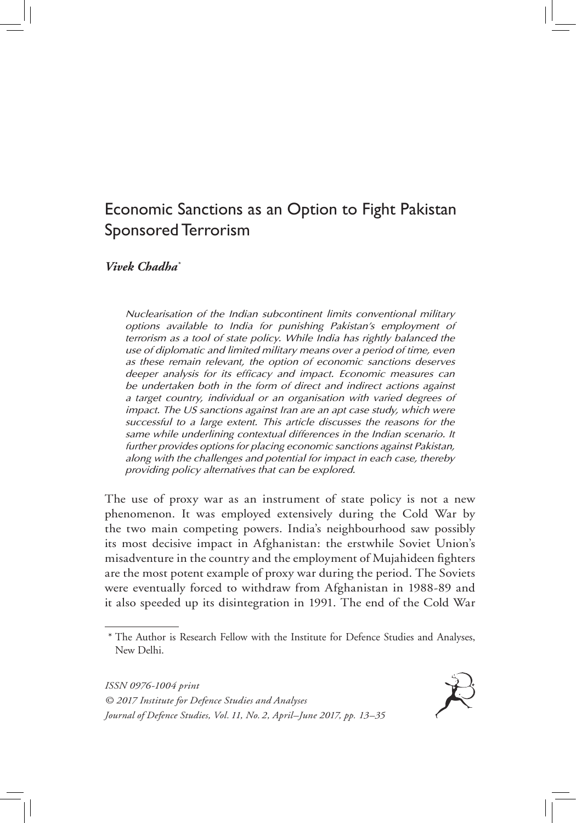# Economic Sanctions as an Option to Fight Pakistan Sponsored Terrorism

*Vivek Chadha\**

*Nuclearisation of the Indian subcontinent limits conventional military options available to India for punishing Pakistan's employment of terrorism as a tool of state policy. While India has rightly balanced the use of diplomatic and limited military means over a period of time, even as these remain relevant, the option of economic sanctions deserves deeper analysis for its efficacy and impact. Economic measures can be undertaken both in the form of direct and indirect actions against a target country, individual or an organisation with varied degrees of impact. The US sanctions against Iran are an apt case study, which were successful to a large extent. This article discusses the reasons for the same while underlining contextual differences in the Indian scenario. It further provides options for placing economic sanctions against Pakistan, along with the challenges and potential for impact in each case, thereby providing policy alternatives that can be explored.*

The use of proxy war as an instrument of state policy is not a new phenomenon. It was employed extensively during the Cold War by the two main competing powers. India's neighbourhood saw possibly its most decisive impact in Afghanistan: the erstwhile Soviet Union's misadventure in the country and the employment of Mujahideen fighters are the most potent example of proxy war during the period. The Soviets were eventually forced to withdraw from Afghanistan in 1988-89 and it also speeded up its disintegration in 1991. The end of the Cold War

*ISSN 0976-1004 print © 2017 Institute for Defence Studies and Analyses Journal of Defence Studies, Vol. 11, No. 2, April–June 2017, pp. 13–35*



<sup>\*</sup> The Author is Research Fellow with the Institute for Defence Studies and Analyses, New Delhi.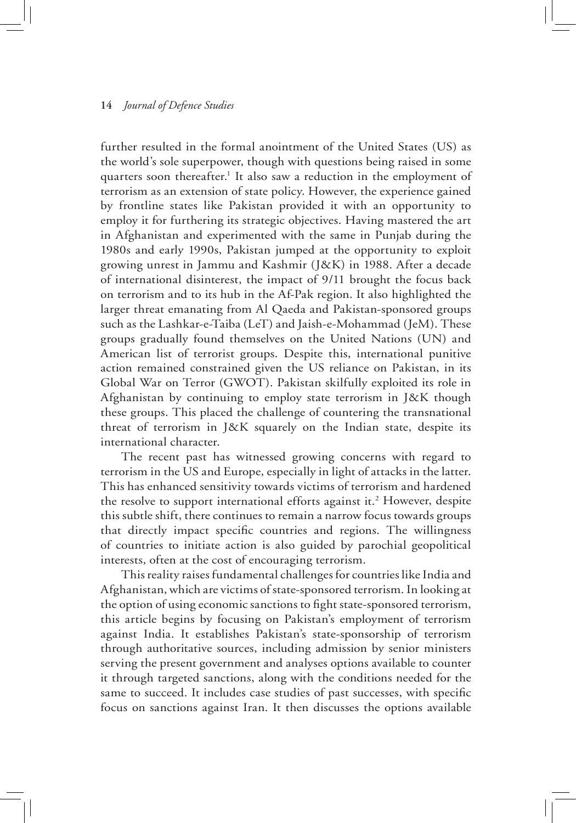further resulted in the formal anointment of the United States (US) as the world's sole superpower, though with questions being raised in some quarters soon thereafter.<sup>1</sup> It also saw a reduction in the employment of terrorism as an extension of state policy. However, the experience gained by frontline states like Pakistan provided it with an opportunity to employ it for furthering its strategic objectives. Having mastered the art in Afghanistan and experimented with the same in Punjab during the 1980s and early 1990s, Pakistan jumped at the opportunity to exploit growing unrest in Jammu and Kashmir (J&K) in 1988. After a decade of international disinterest, the impact of 9/11 brought the focus back on terrorism and to its hub in the Af-Pak region. It also highlighted the larger threat emanating from Al Qaeda and Pakistan-sponsored groups such as the Lashkar-e-Taiba (LeT) and Jaish-e-Mohammad (JeM). These groups gradually found themselves on the United Nations (UN) and American list of terrorist groups. Despite this, international punitive action remained constrained given the US reliance on Pakistan, in its Global War on Terror (GWOT). Pakistan skilfully exploited its role in Afghanistan by continuing to employ state terrorism in J&K though these groups. This placed the challenge of countering the transnational threat of terrorism in J&K squarely on the Indian state, despite its international character.

The recent past has witnessed growing concerns with regard to terrorism in the US and Europe, especially in light of attacks in the latter. This has enhanced sensitivity towards victims of terrorism and hardened the resolve to support international efforts against it.<sup>2</sup> However, despite this subtle shift, there continues to remain a narrow focus towards groups that directly impact specific countries and regions. The willingness of countries to initiate action is also guided by parochial geopolitical interests, often at the cost of encouraging terrorism.

This reality raises fundamental challenges for countries like India and Afghanistan, which are victims of state-sponsored terrorism. In looking at the option of using economic sanctions to fight state-sponsored terrorism, this article begins by focusing on Pakistan's employment of terrorism against India. It establishes Pakistan's state-sponsorship of terrorism through authoritative sources, including admission by senior ministers serving the present government and analyses options available to counter it through targeted sanctions, along with the conditions needed for the same to succeed. It includes case studies of past successes, with specific focus on sanctions against Iran. It then discusses the options available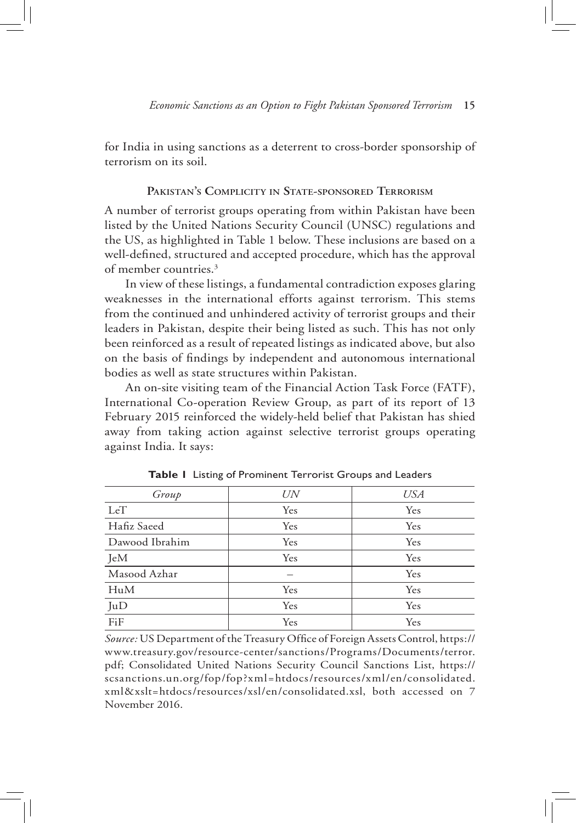for India in using sanctions as a deterrent to cross-border sponsorship of terrorism on its soil.

# **Pakistan's Complicity in State-sponsored Terrorism**

A number of terrorist groups operating from within Pakistan have been listed by the United Nations Security Council (UNSC) regulations and the US, as highlighted in Table 1 below. These inclusions are based on a well-defined, structured and accepted procedure, which has the approval of member countries.3

In view of these listings, a fundamental contradiction exposes glaring weaknesses in the international efforts against terrorism. This stems from the continued and unhindered activity of terrorist groups and their leaders in Pakistan, despite their being listed as such. This has not only been reinforced as a result of repeated listings as indicated above, but also on the basis of findings by independent and autonomous international bodies as well as state structures within Pakistan.

An on-site visiting team of the Financial Action Task Force (FATF), International Co-operation Review Group, as part of its report of 13 February 2015 reinforced the widely-held belief that Pakistan has shied away from taking action against selective terrorist groups operating against India. It says:

| Group          | UN  | <b>USA</b> |
|----------------|-----|------------|
| LeT            | Yes | Yes        |
| Hafiz Saeed    | Yes | Yes        |
| Dawood Ibrahim | Yes | Yes        |
| JeM            | Yes | Yes        |
| Masood Azhar   |     | Yes        |
| HuM            | Yes | Yes        |
| JuD            | Yes | Yes        |
| FiF            | Yes | Yes        |

**Table 1** Listing of Prominent Terrorist Groups and Leaders

*Source:* US Department of the Treasury Office of Foreign Assets Control, https:// www.treasury.gov/resource-center/sanctions/Programs/Documents/terror. pdf; Consolidated United Nations Security Council Sanctions List, https:// scsanctions.un.org/fop/fop?xml=htdocs/resources/xml/en/consolidated. xml&xslt=htdocs/resources/xsl/en/consolidated.xsl, both accessed on 7 November 2016.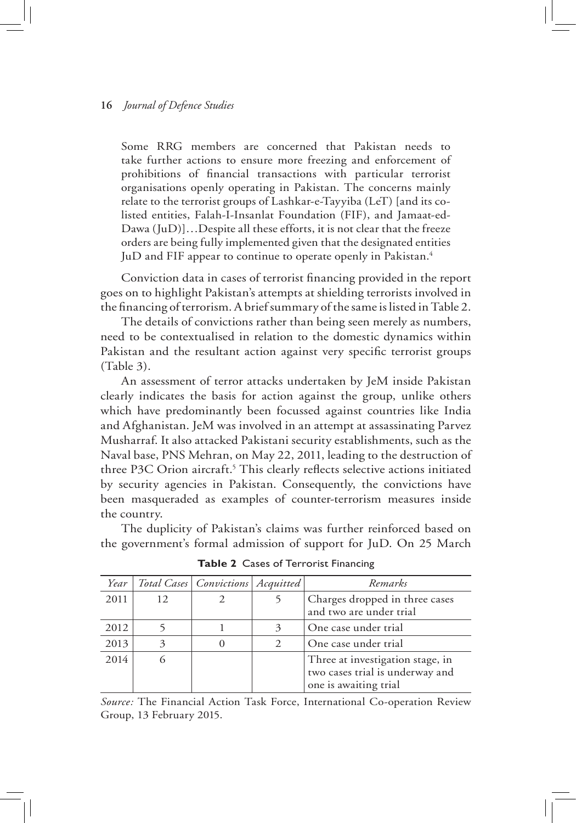Some RRG members are concerned that Pakistan needs to take further actions to ensure more freezing and enforcement of prohibitions of financial transactions with particular terrorist organisations openly operating in Pakistan. The concerns mainly relate to the terrorist groups of Lashkar-e-Tayyiba (LeT) [and its colisted entities, Falah-I-Insanlat Foundation (FIF), and Jamaat-ed-Dawa (JuD)]…Despite all these efforts, it is not clear that the freeze orders are being fully implemented given that the designated entities JuD and FIF appear to continue to operate openly in Pakistan.<sup>4</sup>

Conviction data in cases of terrorist financing provided in the report goes on to highlight Pakistan's attempts at shielding terrorists involved in the financing of terrorism. A brief summary of the same is listed in Table 2.

The details of convictions rather than being seen merely as numbers, need to be contextualised in relation to the domestic dynamics within Pakistan and the resultant action against very specific terrorist groups (Table 3).

An assessment of terror attacks undertaken by JeM inside Pakistan clearly indicates the basis for action against the group, unlike others which have predominantly been focussed against countries like India and Afghanistan. JeM was involved in an attempt at assassinating Parvez Musharraf. It also attacked Pakistani security establishments, such as the Naval base, PNS Mehran, on May 22, 2011, leading to the destruction of three P3C Orion aircraft.<sup>5</sup> This clearly reflects selective actions initiated by security agencies in Pakistan. Consequently, the convictions have been masqueraded as examples of counter-terrorism measures inside the country.

The duplicity of Pakistan's claims was further reinforced based on the government's formal admission of support for JuD. On 25 March

| Year |    | Total Cases   Convictions   Acquitted | Remarks                                                                                      |
|------|----|---------------------------------------|----------------------------------------------------------------------------------------------|
| 2011 | 12 |                                       | Charges dropped in three cases<br>and two are under trial                                    |
| 2012 |    |                                       | One case under trial                                                                         |
| 2013 | 3  | 0                                     | One case under trial                                                                         |
| 2014 |    |                                       | Three at investigation stage, in<br>two cases trial is underway and<br>one is awaiting trial |

**Table 2** Cases of Terrorist Financing

*Source:* The Financial Action Task Force, International Co-operation Review Group, 13 February 2015.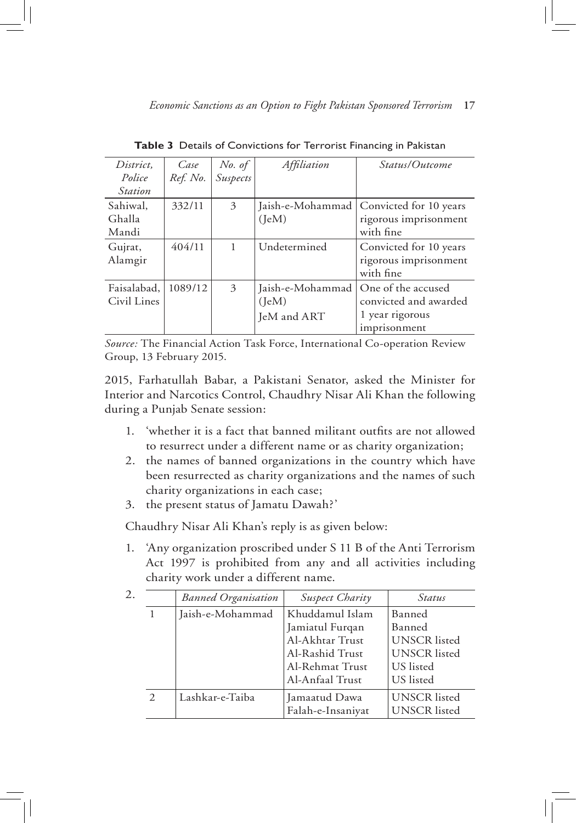| District.      | Case     |                    | Affiliation      | <i>Status/Outcome</i>  |
|----------------|----------|--------------------|------------------|------------------------|
| Police         | Ref. No. | No. of<br>Suspects |                  |                        |
| <b>Station</b> |          |                    |                  |                        |
| Sahiwal,       | 332/11   | 3                  | Jaish-e-Mohammad | Convicted for 10 years |
| Ghalla         |          |                    | (IeM)            | rigorous imprisonment  |
| Mandi          |          |                    |                  | with fine              |
| Gujrat,        | 404/11   | 1                  | Undetermined     | Convicted for 10 years |
| Alamgir        |          |                    |                  | rigorous imprisonment  |
|                |          |                    |                  | with fine              |
| Faisalabad,    | 1089/12  | 3                  | Jaish-e-Mohammad | One of the accused     |
| Civil Lines    |          |                    | (IeM)            | convicted and awarded  |
|                |          |                    | JeM and ART      | 1 year rigorous        |
|                |          |                    |                  | imprisonment           |

**Table 3** Details of Convictions for Terrorist Financing in Pakistan

*Source:* The Financial Action Task Force, International Co-operation Review Group, 13 February 2015.

2015, Farhatullah Babar, a Pakistani Senator, asked the Minister for Interior and Narcotics Control, Chaudhry Nisar Ali Khan the following during a Punjab Senate session:

- 1. 'whether it is a fact that banned militant outfits are not allowed to resurrect under a different name or as charity organization;
- 2. the names of banned organizations in the country which have been resurrected as charity organizations and the names of such charity organizations in each case;
- 3. the present status of Jamatu Dawah?'

Chaudhry Nisar Ali Khan's reply is as given below:

1. 'Any organization proscribed under S 11 B of the Anti Terrorism Act 1997 is prohibited from any and all activities including charity work under a different name.

| 2. |               | <b>Banned Organisation</b> | Suspect Charity   | Status              |
|----|---------------|----------------------------|-------------------|---------------------|
|    |               | Jaish-e-Mohammad           | Khuddamul Islam   | Banned              |
|    |               |                            | Jamiatul Furqan   | Banned              |
|    |               |                            | Al-Akhtar Trust   | <b>UNSCR</b> listed |
|    |               |                            | Al-Rashid Trust   | <b>UNSCR</b> listed |
|    |               |                            | Al-Rehmat Trust   | US listed           |
|    |               |                            | Al-Anfaal Trust   | US listed           |
|    | $\mathcal{L}$ | Lashkar-e-Taiba            | Jamaatud Dawa     | <b>UNSCR</b> listed |
|    |               |                            | Falah-e-Insaniyat | <b>UNSCR</b> listed |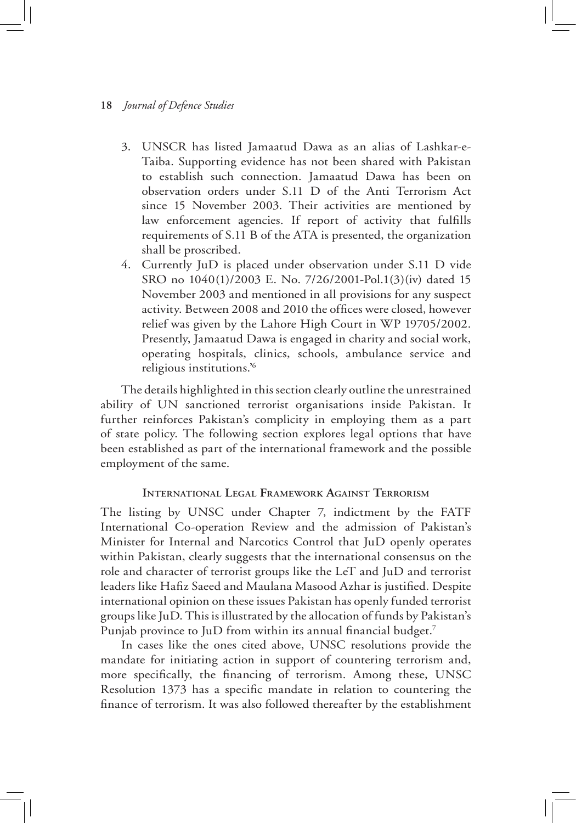- 3. UNSCR has listed Jamaatud Dawa as an alias of Lashkar-e-Taiba. Supporting evidence has not been shared with Pakistan to establish such connection. Jamaatud Dawa has been on observation orders under S.11 D of the Anti Terrorism Act since 15 November 2003. Their activities are mentioned by law enforcement agencies. If report of activity that fulfills requirements of S.11 B of the ATA is presented, the organization shall be proscribed.
- 4. Currently JuD is placed under observation under S.11 D vide SRO no 1040(1)/2003 E. No. 7/26/2001-Pol.1(3)(iv) dated 15 November 2003 and mentioned in all provisions for any suspect activity. Between 2008 and 2010 the offices were closed, however relief was given by the Lahore High Court in WP 19705/2002. Presently, Jamaatud Dawa is engaged in charity and social work, operating hospitals, clinics, schools, ambulance service and religious institutions.'6

The details highlighted in this section clearly outline the unrestrained ability of UN sanctioned terrorist organisations inside Pakistan. It further reinforces Pakistan's complicity in employing them as a part of state policy. The following section explores legal options that have been established as part of the international framework and the possible employment of the same.

# **International Legal Framework Against Terrorism**

The listing by UNSC under Chapter 7, indictment by the FATF International Co-operation Review and the admission of Pakistan's Minister for Internal and Narcotics Control that JuD openly operates within Pakistan, clearly suggests that the international consensus on the role and character of terrorist groups like the LeT and JuD and terrorist leaders like Hafiz Saeed and Maulana Masood Azhar is justified. Despite international opinion on these issues Pakistan has openly funded terrorist groups like JuD. This is illustrated by the allocation of funds by Pakistan's Punjab province to JuD from within its annual financial budget.<sup>7</sup>

In cases like the ones cited above, UNSC resolutions provide the mandate for initiating action in support of countering terrorism and, more specifically, the financing of terrorism. Among these, UNSC Resolution 1373 has a specific mandate in relation to countering the finance of terrorism. It was also followed thereafter by the establishment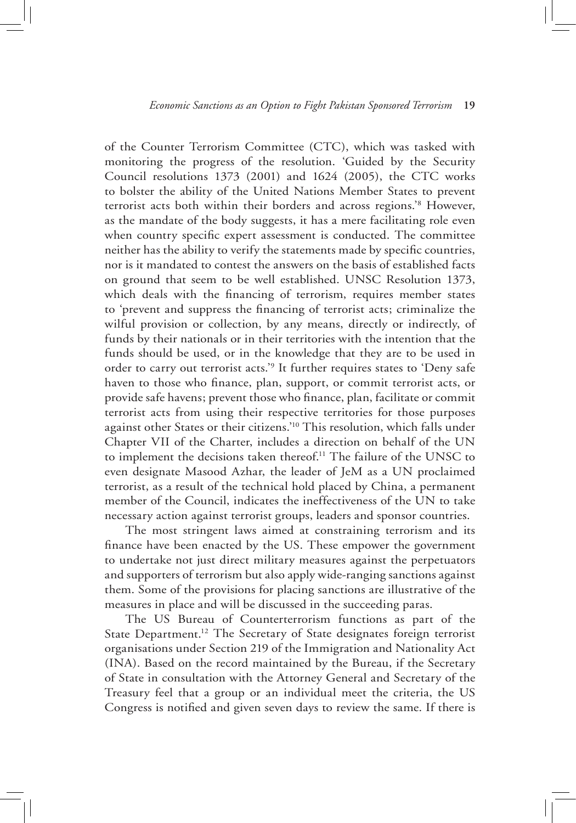of the Counter Terrorism Committee (CTC), which was tasked with monitoring the progress of the resolution. 'Guided by the Security Council resolutions 1373 (2001) and 1624 (2005), the CTC works to bolster the ability of the United Nations Member States to prevent terrorist acts both within their borders and across regions.'8 However, as the mandate of the body suggests, it has a mere facilitating role even when country specific expert assessment is conducted. The committee neither has the ability to verify the statements made by specific countries, nor is it mandated to contest the answers on the basis of established facts on ground that seem to be well established. UNSC Resolution 1373, which deals with the financing of terrorism, requires member states to 'prevent and suppress the financing of terrorist acts; criminalize the wilful provision or collection, by any means, directly or indirectly, of funds by their nationals or in their territories with the intention that the funds should be used, or in the knowledge that they are to be used in order to carry out terrorist acts.'<sup>9</sup> It further requires states to 'Deny safe haven to those who finance, plan, support, or commit terrorist acts, or provide safe havens; prevent those who finance, plan, facilitate or commit terrorist acts from using their respective territories for those purposes against other States or their citizens.'10 This resolution, which falls under Chapter VII of the Charter, includes a direction on behalf of the UN to implement the decisions taken thereof.11 The failure of the UNSC to even designate Masood Azhar, the leader of JeM as a UN proclaimed terrorist, as a result of the technical hold placed by China, a permanent member of the Council, indicates the ineffectiveness of the UN to take necessary action against terrorist groups, leaders and sponsor countries.

The most stringent laws aimed at constraining terrorism and its finance have been enacted by the US. These empower the government to undertake not just direct military measures against the perpetuators and supporters of terrorism but also apply wide-ranging sanctions against them. Some of the provisions for placing sanctions are illustrative of the measures in place and will be discussed in the succeeding paras.

The US Bureau of Counterterrorism functions as part of the State Department.<sup>12</sup> The Secretary of State designates foreign terrorist organisations under Section 219 of the Immigration and Nationality Act (INA). Based on the record maintained by the Bureau, if the Secretary of State in consultation with the Attorney General and Secretary of the Treasury feel that a group or an individual meet the criteria, the US Congress is notified and given seven days to review the same. If there is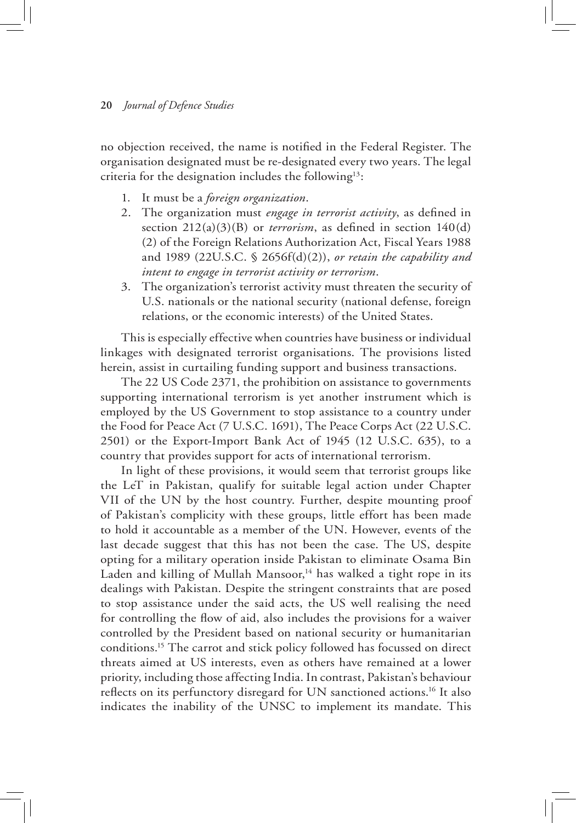no objection received, the name is notified in the Federal Register. The organisation designated must be re-designated every two years. The legal criteria for the designation includes the following13:

- 1. It must be a *foreign organization*.
- 2. The organization must *engage in terrorist activity*, as defined in section 212(a)(3)(B) or *terrorism*, as defined in section 140(d) (2) of the Foreign Relations Authorization Act, Fiscal Years 1988 and 1989 (22U.S.C. § 2656f(d)(2)), *or retain the capability and intent to engage in terrorist activity or terrorism*.
- 3. The organization's terrorist activity must threaten the security of U.S. nationals or the national security (national defense, foreign relations, or the economic interests) of the United States.

This is especially effective when countries have business or individual linkages with designated terrorist organisations. The provisions listed herein, assist in curtailing funding support and business transactions.

The 22 US Code 2371, the prohibition on assistance to governments supporting international terrorism is yet another instrument which is employed by the US Government to stop assistance to a country under the Food for Peace Act (7 U.S.C. 1691), The Peace Corps Act (22 U.S.C. 2501) or the Export-Import Bank Act of 1945 (12 U.S.C. 635), to a country that provides support for acts of international terrorism.

In light of these provisions, it would seem that terrorist groups like the LeT in Pakistan, qualify for suitable legal action under Chapter VII of the UN by the host country. Further, despite mounting proof of Pakistan's complicity with these groups, little effort has been made to hold it accountable as a member of the UN. However, events of the last decade suggest that this has not been the case. The US, despite opting for a military operation inside Pakistan to eliminate Osama Bin Laden and killing of Mullah Mansoor, $14$  has walked a tight rope in its dealings with Pakistan. Despite the stringent constraints that are posed to stop assistance under the said acts, the US well realising the need for controlling the flow of aid, also includes the provisions for a waiver controlled by the President based on national security or humanitarian conditions.15 The carrot and stick policy followed has focussed on direct threats aimed at US interests, even as others have remained at a lower priority, including those affecting India. In contrast, Pakistan's behaviour reflects on its perfunctory disregard for UN sanctioned actions.16 It also indicates the inability of the UNSC to implement its mandate. This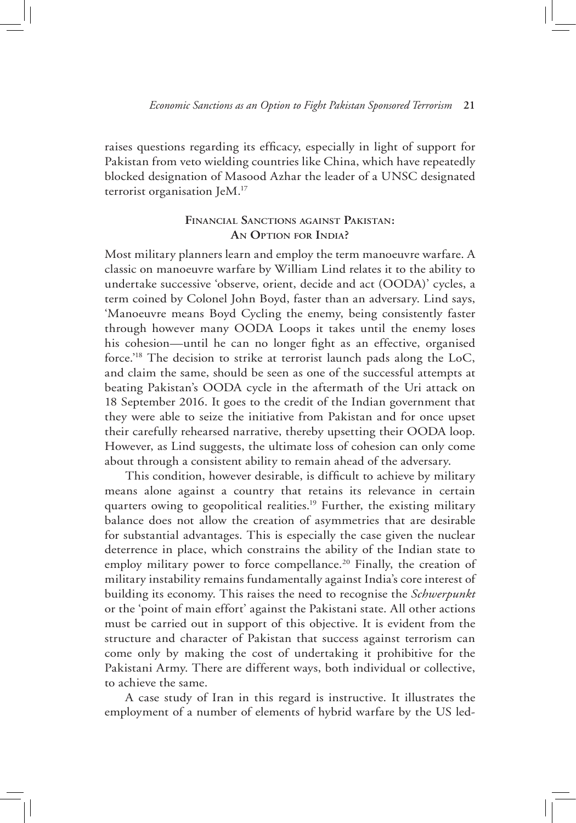raises questions regarding its efficacy, especially in light of support for Pakistan from veto wielding countries like China, which have repeatedly blocked designation of Masood Azhar the leader of a UNSC designated terrorist organisation JeM.17

# **Financial Sanctions against Pakistan: An Option for India?**

Most military planners learn and employ the term manoeuvre warfare. A classic on manoeuvre warfare by William Lind relates it to the ability to undertake successive 'observe, orient, decide and act (OODA)' cycles, a term coined by Colonel John Boyd, faster than an adversary. Lind says, 'Manoeuvre means Boyd Cycling the enemy, being consistently faster through however many OODA Loops it takes until the enemy loses his cohesion—until he can no longer fight as an effective, organised force.'18 The decision to strike at terrorist launch pads along the LoC, and claim the same, should be seen as one of the successful attempts at beating Pakistan's OODA cycle in the aftermath of the Uri attack on 18 September 2016. It goes to the credit of the Indian government that they were able to seize the initiative from Pakistan and for once upset their carefully rehearsed narrative, thereby upsetting their OODA loop. However, as Lind suggests, the ultimate loss of cohesion can only come about through a consistent ability to remain ahead of the adversary.

This condition, however desirable, is difficult to achieve by military means alone against a country that retains its relevance in certain quarters owing to geopolitical realities.<sup>19</sup> Further, the existing military balance does not allow the creation of asymmetries that are desirable for substantial advantages. This is especially the case given the nuclear deterrence in place, which constrains the ability of the Indian state to employ military power to force compellance.<sup>20</sup> Finally, the creation of military instability remains fundamentally against India's core interest of building its economy. This raises the need to recognise the *Schwerpunkt* or the 'point of main effort' against the Pakistani state. All other actions must be carried out in support of this objective. It is evident from the structure and character of Pakistan that success against terrorism can come only by making the cost of undertaking it prohibitive for the Pakistani Army. There are different ways, both individual or collective, to achieve the same.

A case study of Iran in this regard is instructive. It illustrates the employment of a number of elements of hybrid warfare by the US led-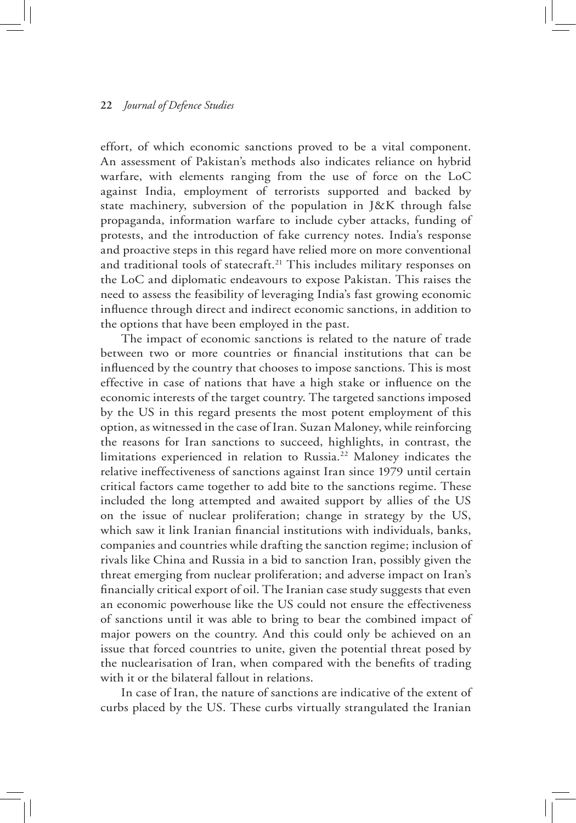effort, of which economic sanctions proved to be a vital component. An assessment of Pakistan's methods also indicates reliance on hybrid warfare, with elements ranging from the use of force on the LoC against India, employment of terrorists supported and backed by state machinery, subversion of the population in J&K through false propaganda, information warfare to include cyber attacks, funding of protests, and the introduction of fake currency notes. India's response and proactive steps in this regard have relied more on more conventional and traditional tools of statecraft.<sup>21</sup> This includes military responses on the LoC and diplomatic endeavours to expose Pakistan. This raises the need to assess the feasibility of leveraging India's fast growing economic influence through direct and indirect economic sanctions, in addition to the options that have been employed in the past.

The impact of economic sanctions is related to the nature of trade between two or more countries or financial institutions that can be influenced by the country that chooses to impose sanctions. This is most effective in case of nations that have a high stake or influence on the economic interests of the target country. The targeted sanctions imposed by the US in this regard presents the most potent employment of this option, as witnessed in the case of Iran. Suzan Maloney, while reinforcing the reasons for Iran sanctions to succeed, highlights, in contrast, the limitations experienced in relation to Russia.<sup>22</sup> Maloney indicates the relative ineffectiveness of sanctions against Iran since 1979 until certain critical factors came together to add bite to the sanctions regime. These included the long attempted and awaited support by allies of the US on the issue of nuclear proliferation; change in strategy by the US, which saw it link Iranian financial institutions with individuals, banks, companies and countries while drafting the sanction regime; inclusion of rivals like China and Russia in a bid to sanction Iran, possibly given the threat emerging from nuclear proliferation; and adverse impact on Iran's financially critical export of oil. The Iranian case study suggests that even an economic powerhouse like the US could not ensure the effectiveness of sanctions until it was able to bring to bear the combined impact of major powers on the country. And this could only be achieved on an issue that forced countries to unite, given the potential threat posed by the nuclearisation of Iran, when compared with the benefits of trading with it or the bilateral fallout in relations.

In case of Iran, the nature of sanctions are indicative of the extent of curbs placed by the US. These curbs virtually strangulated the Iranian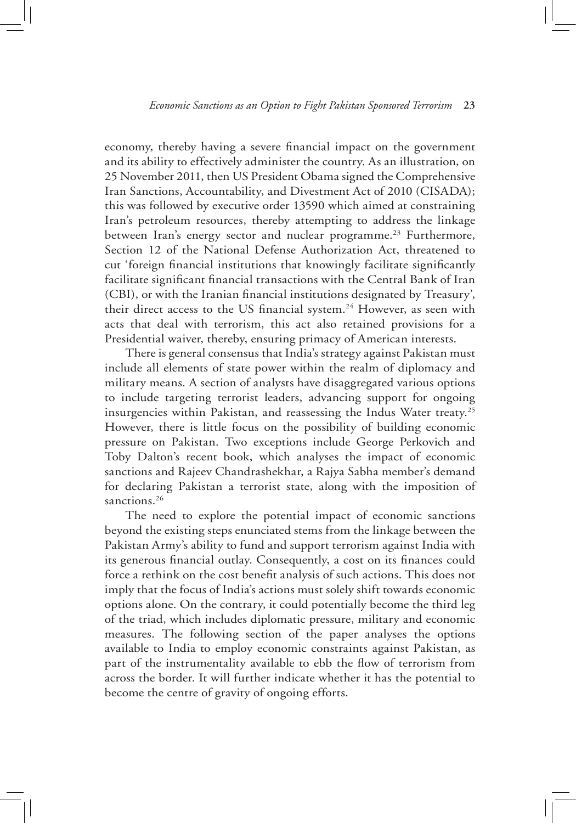economy, thereby having a severe financial impact on the government and its ability to effectively administer the country. As an illustration, on 25 November 2011, then US President Obama signed the Comprehensive Iran Sanctions, Accountability, and Divestment Act of 2010 (CISADA); this was followed by executive order 13590 which aimed at constraining Iran's petroleum resources, thereby attempting to address the linkage between Iran's energy sector and nuclear programme.<sup>23</sup> Furthermore, Section 12 of the National Defense Authorization Act, threatened to cut 'foreign financial institutions that knowingly facilitate significantly facilitate significant financial transactions with the Central Bank of Iran (CBI), or with the Iranian financial institutions designated by Treasury', their direct access to the US financial system.<sup>24</sup> However, as seen with acts that deal with terrorism, this act also retained provisions for a Presidential waiver, thereby, ensuring primacy of American interests.

There is general consensus that India's strategy against Pakistan must include all elements of state power within the realm of diplomacy and military means. A section of analysts have disaggregated various options to include targeting terrorist leaders, advancing support for ongoing insurgencies within Pakistan, and reassessing the Indus Water treaty.25 However, there is little focus on the possibility of building economic pressure on Pakistan. Two exceptions include George Perkovich and Toby Dalton's recent book, which analyses the impact of economic sanctions and Rajeev Chandrashekhar, a Rajya Sabha member's demand for declaring Pakistan a terrorist state, along with the imposition of sanctions.<sup>26</sup>

The need to explore the potential impact of economic sanctions beyond the existing steps enunciated stems from the linkage between the Pakistan Army's ability to fund and support terrorism against India with its generous financial outlay. Consequently, a cost on its finances could force a rethink on the cost benefit analysis of such actions. This does not imply that the focus of India's actions must solely shift towards economic options alone. On the contrary, it could potentially become the third leg of the triad, which includes diplomatic pressure, military and economic measures. The following section of the paper analyses the options available to India to employ economic constraints against Pakistan, as part of the instrumentality available to ebb the flow of terrorism from across the border. It will further indicate whether it has the potential to become the centre of gravity of ongoing efforts.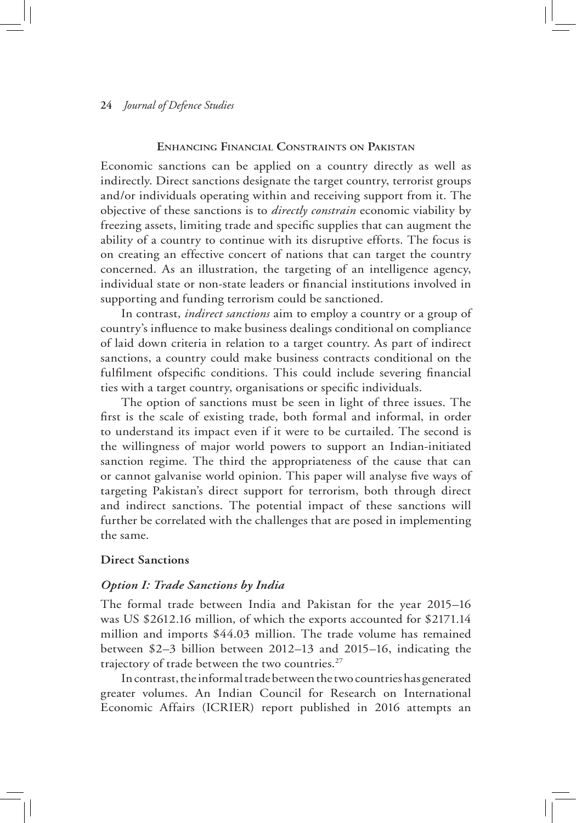## **Enhancing Financial Constraints on Pakistan**

Economic sanctions can be applied on a country directly as well as indirectly. Direct sanctions designate the target country, terrorist groups and/or individuals operating within and receiving support from it. The objective of these sanctions is to *directly constrain* economic viability by freezing assets, limiting trade and specific supplies that can augment the ability of a country to continue with its disruptive efforts. The focus is on creating an effective concert of nations that can target the country concerned. As an illustration, the targeting of an intelligence agency, individual state or non-state leaders or financial institutions involved in supporting and funding terrorism could be sanctioned.

In contrast, *indirect sanctions* aim to employ a country or a group of country's influence to make business dealings conditional on compliance of laid down criteria in relation to a target country. As part of indirect sanctions, a country could make business contracts conditional on the fulfilment ofspecific conditions. This could include severing financial ties with a target country, organisations or specific individuals.

The option of sanctions must be seen in light of three issues. The first is the scale of existing trade, both formal and informal, in order to understand its impact even if it were to be curtailed. The second is the willingness of major world powers to support an Indian-initiated sanction regime. The third the appropriateness of the cause that can or cannot galvanise world opinion. This paper will analyse five ways of targeting Pakistan's direct support for terrorism, both through direct and indirect sanctions. The potential impact of these sanctions will further be correlated with the challenges that are posed in implementing the same.

# **Direct Sanctions**

# *Option I: Trade Sanctions by India*

The formal trade between India and Pakistan for the year 2015–16 was US \$2612.16 million, of which the exports accounted for \$2171.14 million and imports \$44.03 million. The trade volume has remained between \$2–3 billion between 2012–13 and 2015–16, indicating the trajectory of trade between the two countries.<sup>27</sup>

In contrast, the informal trade between the two countries has generated greater volumes. An Indian Council for Research on International Economic Affairs (ICRIER) report published in 2016 attempts an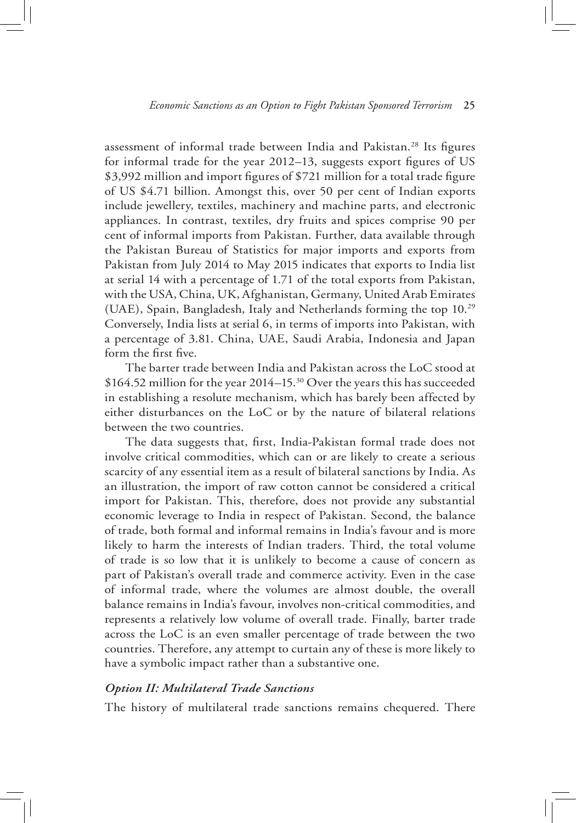assessment of informal trade between India and Pakistan.28 Its figures for informal trade for the year 2012–13, suggests export figures of US \$3,992 million and import figures of \$721 million for a total trade figure of US \$4.71 billion. Amongst this, over 50 per cent of Indian exports include jewellery, textiles, machinery and machine parts, and electronic appliances. In contrast, textiles, dry fruits and spices comprise 90 per cent of informal imports from Pakistan. Further, data available through the Pakistan Bureau of Statistics for major imports and exports from Pakistan from July 2014 to May 2015 indicates that exports to India list at serial 14 with a percentage of 1.71 of the total exports from Pakistan, with the USA, China, UK, Afghanistan, Germany, United Arab Emirates (UAE), Spain, Bangladesh, Italy and Netherlands forming the top 10.29 Conversely, India lists at serial 6, in terms of imports into Pakistan, with a percentage of 3.81. China, UAE, Saudi Arabia, Indonesia and Japan form the first five.

The barter trade between India and Pakistan across the LoC stood at \$164.52 million for the year 2014–15.30 Over the years this has succeeded in establishing a resolute mechanism, which has barely been affected by either disturbances on the LoC or by the nature of bilateral relations between the two countries.

The data suggests that, first, India-Pakistan formal trade does not involve critical commodities, which can or are likely to create a serious scarcity of any essential item as a result of bilateral sanctions by India. As an illustration, the import of raw cotton cannot be considered a critical import for Pakistan. This, therefore, does not provide any substantial economic leverage to India in respect of Pakistan. Second, the balance of trade, both formal and informal remains in India's favour and is more likely to harm the interests of Indian traders. Third, the total volume of trade is so low that it is unlikely to become a cause of concern as part of Pakistan's overall trade and commerce activity. Even in the case of informal trade, where the volumes are almost double, the overall balance remains in India's favour, involves non-critical commodities, and represents a relatively low volume of overall trade. Finally, barter trade across the LoC is an even smaller percentage of trade between the two countries. Therefore, any attempt to curtain any of these is more likely to have a symbolic impact rather than a substantive one.

### *Option II: Multilateral Trade Sanctions*

The history of multilateral trade sanctions remains chequered. There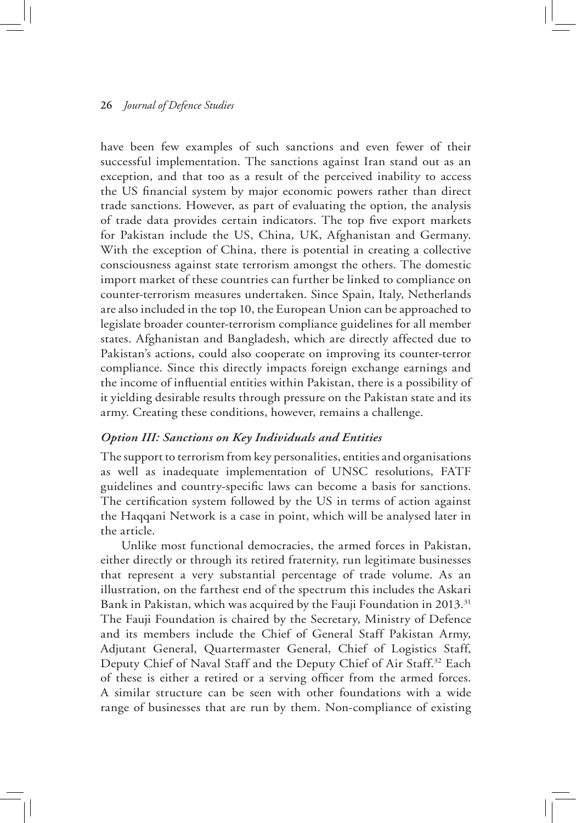have been few examples of such sanctions and even fewer of their successful implementation. The sanctions against Iran stand out as an exception, and that too as a result of the perceived inability to access the US financial system by major economic powers rather than direct trade sanctions. However, as part of evaluating the option, the analysis of trade data provides certain indicators. The top five export markets for Pakistan include the US, China, UK, Afghanistan and Germany. With the exception of China, there is potential in creating a collective consciousness against state terrorism amongst the others. The domestic import market of these countries can further be linked to compliance on counter-terrorism measures undertaken. Since Spain, Italy, Netherlands are also included in the top 10, the European Union can be approached to legislate broader counter-terrorism compliance guidelines for all member states. Afghanistan and Bangladesh, which are directly affected due to Pakistan's actions, could also cooperate on improving its counter-terror compliance. Since this directly impacts foreign exchange earnings and the income of influential entities within Pakistan, there is a possibility of it yielding desirable results through pressure on the Pakistan state and its army. Creating these conditions, however, remains a challenge.

#### *Option III: Sanctions on Key Individuals and Entities*

The support to terrorism from key personalities, entities and organisations as well as inadequate implementation of UNSC resolutions, FATF guidelines and country-specific laws can become a basis for sanctions. The certification system followed by the US in terms of action against the Haqqani Network is a case in point, which will be analysed later in the article.

Unlike most functional democracies, the armed forces in Pakistan, either directly or through its retired fraternity, run legitimate businesses that represent a very substantial percentage of trade volume. As an illustration, on the farthest end of the spectrum this includes the Askari Bank in Pakistan, which was acquired by the Fauji Foundation in 2013.<sup>31</sup> The Fauji Foundation is chaired by the Secretary, Ministry of Defence and its members include the Chief of General Staff Pakistan Army, Adjutant General, Quartermaster General, Chief of Logistics Staff, Deputy Chief of Naval Staff and the Deputy Chief of Air Staff.32 Each of these is either a retired or a serving officer from the armed forces. A similar structure can be seen with other foundations with a wide range of businesses that are run by them. Non-compliance of existing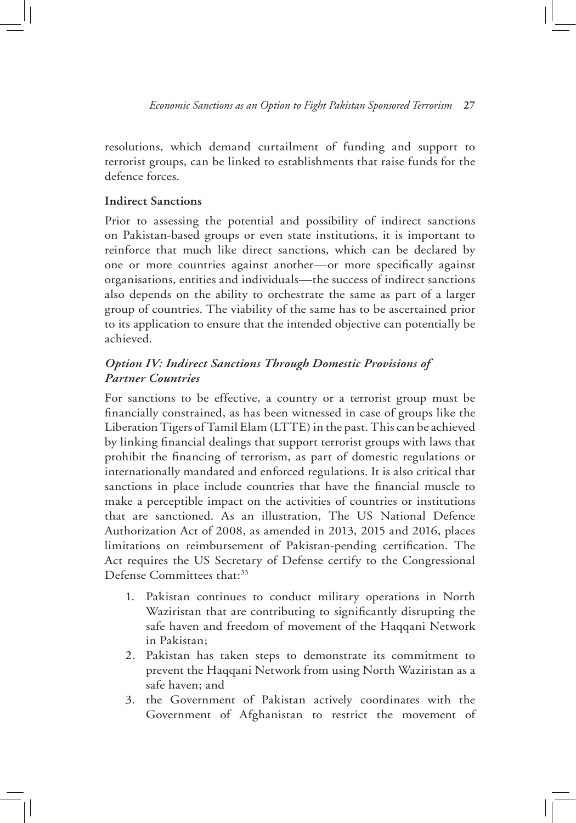resolutions, which demand curtailment of funding and support to terrorist groups, can be linked to establishments that raise funds for the defence forces.

# **Indirect Sanctions**

Prior to assessing the potential and possibility of indirect sanctions on Pakistan-based groups or even state institutions, it is important to reinforce that much like direct sanctions, which can be declared by one or more countries against another—or more specifically against organisations, entities and individuals—the success of indirect sanctions also depends on the ability to orchestrate the same as part of a larger group of countries. The viability of the same has to be ascertained prior to its application to ensure that the intended objective can potentially be achieved.

# *Option IV: Indirect Sanctions Through Domestic Provisions of Partner Countries*

For sanctions to be effective, a country or a terrorist group must be financially constrained, as has been witnessed in case of groups like the Liberation Tigers of Tamil Elam (LTTE) in the past. This can be achieved by linking financial dealings that support terrorist groups with laws that prohibit the financing of terrorism, as part of domestic regulations or internationally mandated and enforced regulations. It is also critical that sanctions in place include countries that have the financial muscle to make a perceptible impact on the activities of countries or institutions that are sanctioned. As an illustration, The US National Defence Authorization Act of 2008, as amended in 2013, 2015 and 2016, places limitations on reimbursement of Pakistan-pending certification. The Act requires the US Secretary of Defense certify to the Congressional Defense Committees that:<sup>33</sup>

- 1. Pakistan continues to conduct military operations in North Waziristan that are contributing to significantly disrupting the safe haven and freedom of movement of the Haqqani Network in Pakistan;
- 2. Pakistan has taken steps to demonstrate its commitment to prevent the Haqqani Network from using North Waziristan as a safe haven; and
- 3. the Government of Pakistan actively coordinates with the Government of Afghanistan to restrict the movement of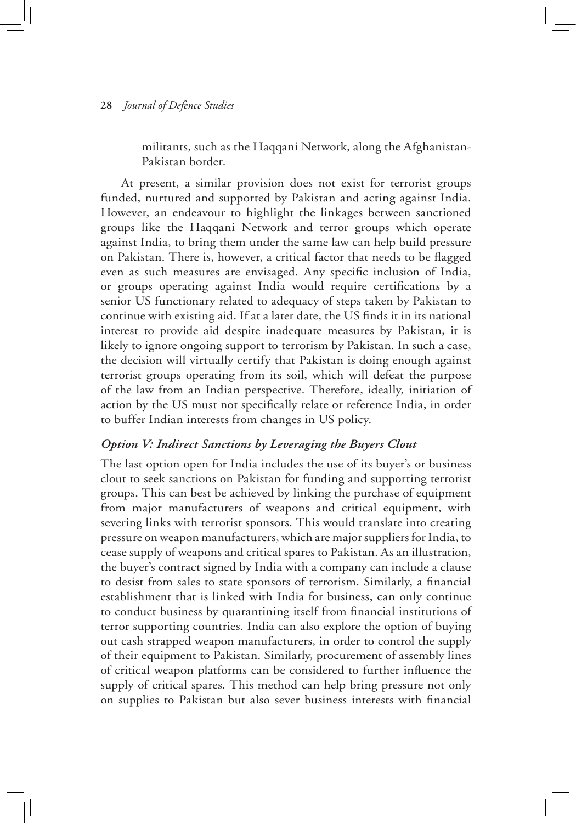militants, such as the Haqqani Network, along the Afghanistan-Pakistan border.

At present, a similar provision does not exist for terrorist groups funded, nurtured and supported by Pakistan and acting against India. However, an endeavour to highlight the linkages between sanctioned groups like the Haqqani Network and terror groups which operate against India, to bring them under the same law can help build pressure on Pakistan. There is, however, a critical factor that needs to be flagged even as such measures are envisaged. Any specific inclusion of India, or groups operating against India would require certifications by a senior US functionary related to adequacy of steps taken by Pakistan to continue with existing aid. If at a later date, the US finds it in its national interest to provide aid despite inadequate measures by Pakistan, it is likely to ignore ongoing support to terrorism by Pakistan. In such a case, the decision will virtually certify that Pakistan is doing enough against terrorist groups operating from its soil, which will defeat the purpose of the law from an Indian perspective. Therefore, ideally, initiation of action by the US must not specifically relate or reference India, in order to buffer Indian interests from changes in US policy.

# *Option V: Indirect Sanctions by Leveraging the Buyers Clout*

The last option open for India includes the use of its buyer's or business clout to seek sanctions on Pakistan for funding and supporting terrorist groups. This can best be achieved by linking the purchase of equipment from major manufacturers of weapons and critical equipment, with severing links with terrorist sponsors. This would translate into creating pressure on weapon manufacturers, which are major suppliers for India, to cease supply of weapons and critical spares to Pakistan. As an illustration, the buyer's contract signed by India with a company can include a clause to desist from sales to state sponsors of terrorism. Similarly, a financial establishment that is linked with India for business, can only continue to conduct business by quarantining itself from financial institutions of terror supporting countries. India can also explore the option of buying out cash strapped weapon manufacturers, in order to control the supply of their equipment to Pakistan. Similarly, procurement of assembly lines of critical weapon platforms can be considered to further influence the supply of critical spares. This method can help bring pressure not only on supplies to Pakistan but also sever business interests with financial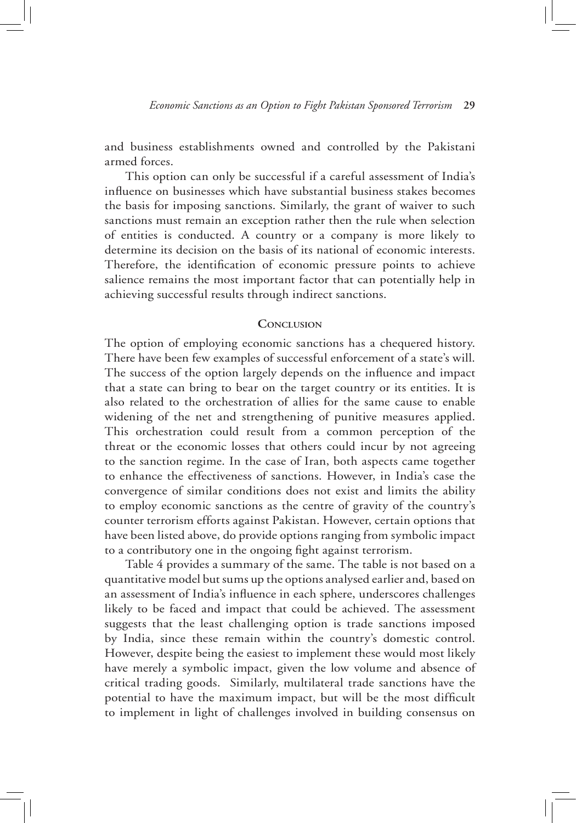and business establishments owned and controlled by the Pakistani armed forces.

This option can only be successful if a careful assessment of India's influence on businesses which have substantial business stakes becomes the basis for imposing sanctions. Similarly, the grant of waiver to such sanctions must remain an exception rather then the rule when selection of entities is conducted. A country or a company is more likely to determine its decision on the basis of its national of economic interests. Therefore, the identification of economic pressure points to achieve salience remains the most important factor that can potentially help in achieving successful results through indirect sanctions.

# **Conclusion**

The option of employing economic sanctions has a chequered history. There have been few examples of successful enforcement of a state's will. The success of the option largely depends on the influence and impact that a state can bring to bear on the target country or its entities. It is also related to the orchestration of allies for the same cause to enable widening of the net and strengthening of punitive measures applied. This orchestration could result from a common perception of the threat or the economic losses that others could incur by not agreeing to the sanction regime. In the case of Iran, both aspects came together to enhance the effectiveness of sanctions. However, in India's case the convergence of similar conditions does not exist and limits the ability to employ economic sanctions as the centre of gravity of the country's counter terrorism efforts against Pakistan. However, certain options that have been listed above, do provide options ranging from symbolic impact to a contributory one in the ongoing fight against terrorism.

Table 4 provides a summary of the same. The table is not based on a quantitative model but sums up the options analysed earlier and, based on an assessment of India's influence in each sphere, underscores challenges likely to be faced and impact that could be achieved. The assessment suggests that the least challenging option is trade sanctions imposed by India, since these remain within the country's domestic control. However, despite being the easiest to implement these would most likely have merely a symbolic impact, given the low volume and absence of critical trading goods. Similarly, multilateral trade sanctions have the potential to have the maximum impact, but will be the most difficult to implement in light of challenges involved in building consensus on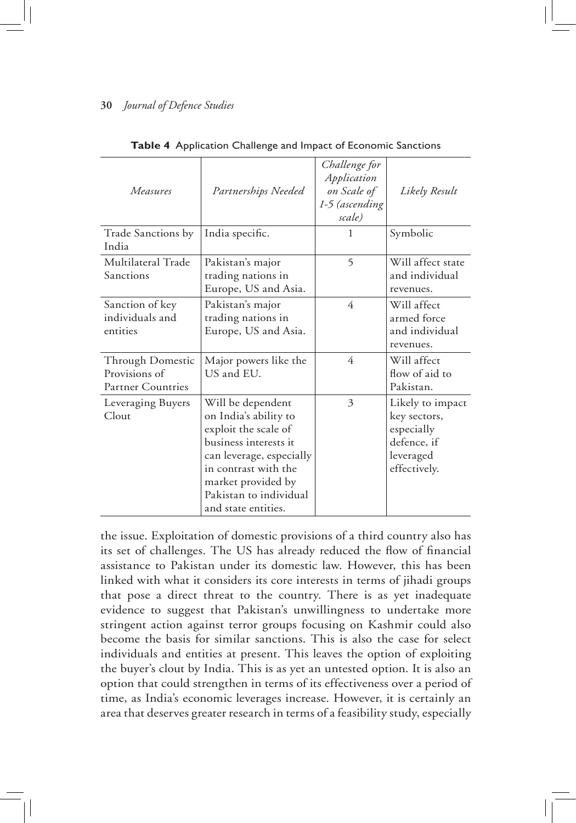| Measures                                                             | Partnerships Needed                                                                                                                                                                                                    | Challenge for<br>Application<br>on Scale of<br>1-5 (ascending<br>scale) | Likely Result                                                                              |
|----------------------------------------------------------------------|------------------------------------------------------------------------------------------------------------------------------------------------------------------------------------------------------------------------|-------------------------------------------------------------------------|--------------------------------------------------------------------------------------------|
| Trade Sanctions by<br>India                                          | India specific.                                                                                                                                                                                                        | 1                                                                       | Symbolic                                                                                   |
| Multilateral Trade<br>Sanctions                                      | Pakistan's major<br>trading nations in<br>Europe, US and Asia.                                                                                                                                                         | 5                                                                       | Will affect state<br>and individual<br>revenues.                                           |
| Sanction of key<br>individuals and<br>entities                       | Pakistan's major<br>trading nations in<br>Europe, US and Asia.                                                                                                                                                         | 4                                                                       | Will affect<br>armed force<br>and individual<br>revenues.                                  |
| <b>Through Domestic</b><br>Provisions of<br><b>Partner Countries</b> | Major powers like the<br>US and EU.                                                                                                                                                                                    | 4                                                                       | Will affect<br>flow of aid to<br>Pakistan.                                                 |
| Leveraging Buyers<br>Clout                                           | Will be dependent<br>on India's ability to<br>exploit the scale of<br>business interests it<br>can leverage, especially<br>in contrast with the<br>market provided by<br>Pakistan to individual<br>and state entities. | 3                                                                       | Likely to impact<br>key sectors,<br>especially<br>defence, if<br>leveraged<br>effectively. |

**Table 4** Application Challenge and Impact of Economic Sanctions

the issue. Exploitation of domestic provisions of a third country also has its set of challenges. The US has already reduced the flow of financial assistance to Pakistan under its domestic law. However, this has been linked with what it considers its core interests in terms of jihadi groups that pose a direct threat to the country. There is as yet inadequate evidence to suggest that Pakistan's unwillingness to undertake more stringent action against terror groups focusing on Kashmir could also become the basis for similar sanctions. This is also the case for select individuals and entities at present. This leaves the option of exploiting the buyer's clout by India. This is as yet an untested option. It is also an option that could strengthen in terms of its effectiveness over a period of time, as India's economic leverages increase. However, it is certainly an area that deserves greater research in terms of a feasibility study, especially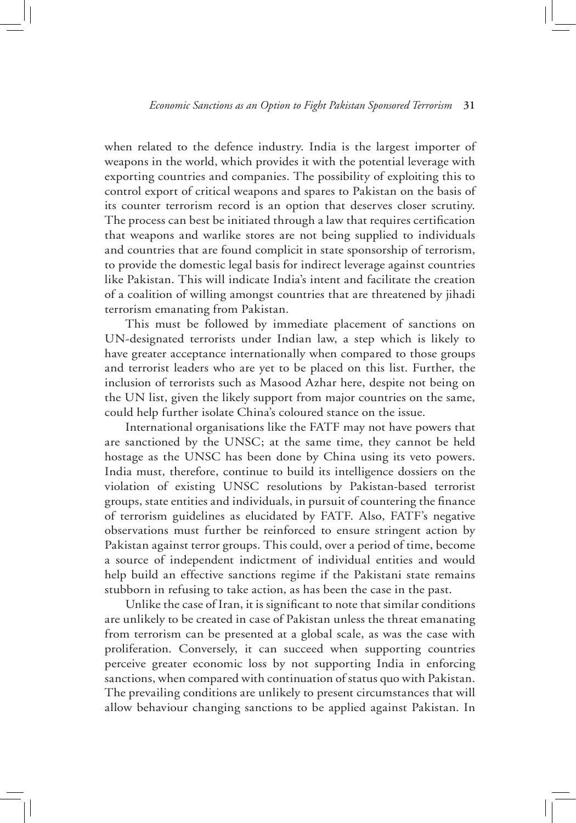when related to the defence industry. India is the largest importer of weapons in the world, which provides it with the potential leverage with exporting countries and companies. The possibility of exploiting this to control export of critical weapons and spares to Pakistan on the basis of its counter terrorism record is an option that deserves closer scrutiny. The process can best be initiated through a law that requires certification that weapons and warlike stores are not being supplied to individuals and countries that are found complicit in state sponsorship of terrorism, to provide the domestic legal basis for indirect leverage against countries like Pakistan. This will indicate India's intent and facilitate the creation of a coalition of willing amongst countries that are threatened by jihadi terrorism emanating from Pakistan.

This must be followed by immediate placement of sanctions on UN-designated terrorists under Indian law, a step which is likely to have greater acceptance internationally when compared to those groups and terrorist leaders who are yet to be placed on this list. Further, the inclusion of terrorists such as Masood Azhar here, despite not being on the UN list, given the likely support from major countries on the same, could help further isolate China's coloured stance on the issue.

International organisations like the FATF may not have powers that are sanctioned by the UNSC; at the same time, they cannot be held hostage as the UNSC has been done by China using its veto powers. India must, therefore, continue to build its intelligence dossiers on the violation of existing UNSC resolutions by Pakistan-based terrorist groups, state entities and individuals, in pursuit of countering the finance of terrorism guidelines as elucidated by FATF. Also, FATF's negative observations must further be reinforced to ensure stringent action by Pakistan against terror groups. This could, over a period of time, become a source of independent indictment of individual entities and would help build an effective sanctions regime if the Pakistani state remains stubborn in refusing to take action, as has been the case in the past.

Unlike the case of Iran, it is significant to note that similar conditions are unlikely to be created in case of Pakistan unless the threat emanating from terrorism can be presented at a global scale, as was the case with proliferation. Conversely, it can succeed when supporting countries perceive greater economic loss by not supporting India in enforcing sanctions, when compared with continuation of status quo with Pakistan. The prevailing conditions are unlikely to present circumstances that will allow behaviour changing sanctions to be applied against Pakistan. In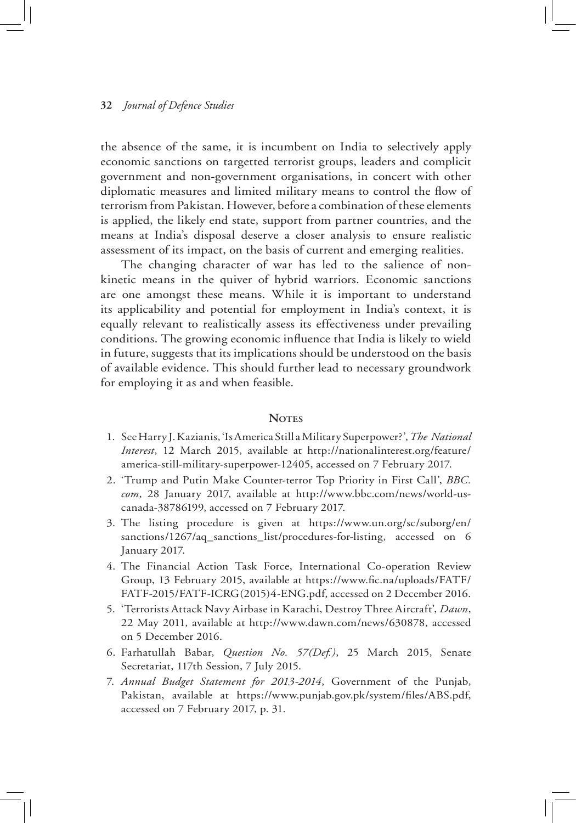the absence of the same, it is incumbent on India to selectively apply economic sanctions on targetted terrorist groups, leaders and complicit government and non-government organisations, in concert with other diplomatic measures and limited military means to control the flow of terrorism from Pakistan. However, before a combination of these elements is applied, the likely end state, support from partner countries, and the means at India's disposal deserve a closer analysis to ensure realistic assessment of its impact, on the basis of current and emerging realities.

The changing character of war has led to the salience of nonkinetic means in the quiver of hybrid warriors. Economic sanctions are one amongst these means. While it is important to understand its applicability and potential for employment in India's context, it is equally relevant to realistically assess its effectiveness under prevailing conditions. The growing economic influence that India is likely to wield in future, suggests that its implications should be understood on the basis of available evidence. This should further lead to necessary groundwork for employing it as and when feasible.

#### **Notes**

- 1. See Harry J. Kazianis, 'Is America Still a Military Superpower?', *The National Interest*, 12 March 2015, available at http://nationalinterest.org/feature/ america-still-military-superpower-12405, accessed on 7 February 2017.
- 2. 'Trump and Putin Make Counter-terror Top Priority in First Call', *BBC. com*, 28 January 2017, available at http://www.bbc.com/news/world-uscanada-38786199, accessed on 7 February 2017.
- 3. The listing procedure is given at https://www.un.org/sc/suborg/en/ sanctions/1267/aq\_sanctions\_list/procedures-for-listing, accessed on 6 January 2017.
- 4. The Financial Action Task Force, International Co-operation Review Group, 13 February 2015, available at https://www.fic.na/uploads/FATF/ FATF-2015/FATF-ICRG(2015)4-ENG.pdf, accessed on 2 December 2016.
- 5. 'Terrorists Attack Navy Airbase in Karachi, Destroy Three Aircraft', *Dawn*, 22 May 2011, available at http://www.dawn.com/news/630878, accessed on 5 December 2016.
- 6. Farhatullah Babar, *Question No. 57(Def.)*, 25 March 2015, Senate Secretariat, 117th Session, 7 July 2015.
- 7. *Annual Budget Statement for 2013-2014*, Government of the Punjab, Pakistan, available at https://www.punjab.gov.pk/system/files/ABS.pdf, accessed on 7 February 2017, p. 31.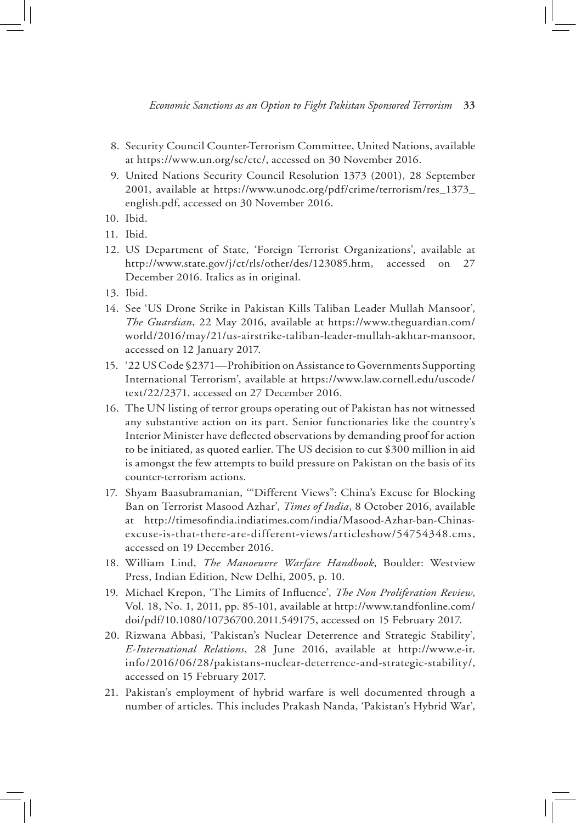- 8. Security Council Counter-Terrorism Committee, United Nations, available at https://www.un.org/sc/ctc/, accessed on 30 November 2016.
- 9. United Nations Security Council Resolution 1373 (2001), 28 September 2001, available at https://www.unodc.org/pdf/crime/terrorism/res\_1373\_ english.pdf, accessed on 30 November 2016.
- 10. Ibid.
- 11. Ibid.
- 12. US Department of State, 'Foreign Terrorist Organizations', available at http://www.state.gov/j/ct/rls/other/des/123085.htm, accessed on 27 December 2016. Italics as in original.
- 13. Ibid.
- 14. See 'US Drone Strike in Pakistan Kills Taliban Leader Mullah Mansoor', *The Guardian*, 22 May 2016, available at https://www.theguardian.com/ world/2016/may/21/us-airstrike-taliban-leader-mullah-akhtar-mansoor, accessed on 12 January 2017.
- 15. '22 US Code §2371—Prohibition on Assistance to Governments Supporting International Terrorism', available at https://www.law.cornell.edu/uscode/ text/22/2371, accessed on 27 December 2016.
- 16. The UN listing of terror groups operating out of Pakistan has not witnessed any substantive action on its part. Senior functionaries like the country's Interior Minister have deflected observations by demanding proof for action to be initiated, as quoted earlier. The US decision to cut \$300 million in aid is amongst the few attempts to build pressure on Pakistan on the basis of its counter-terrorism actions.
- 17. Shyam Baasubramanian, '"Different Views": China's Excuse for Blocking Ban on Terrorist Masood Azhar', *Times of India*, 8 October 2016, available at http://timesofindia.indiatimes.com/india/Masood-Azhar-ban-Chinasexcuse-is-that-there-are-different-views/articleshow/54754348.cms, accessed on 19 December 2016.
- 18. William Lind, *The Manoeuvre Warfare Handbook*, Boulder: Westview Press, Indian Edition, New Delhi, 2005, p. 10.
- 19. Michael Krepon, 'The Limits of Influence', *The Non Proliferation Review*, Vol. 18, No. 1, 2011, pp. 85-101, available at http://www.tandfonline.com/ doi/pdf/10.1080/10736700.2011.549175, accessed on 15 February 2017.
- 20. Rizwana Abbasi, 'Pakistan's Nuclear Deterrence and Strategic Stability', *E-International Relations*, 28 June 2016, available at http://www.e-ir. info/2016/06/28/pakistans-nuclear-deterrence-and-strategic-stability/, accessed on 15 February 2017.
- 21. Pakistan's employment of hybrid warfare is well documented through a number of articles. This includes Prakash Nanda, 'Pakistan's Hybrid War',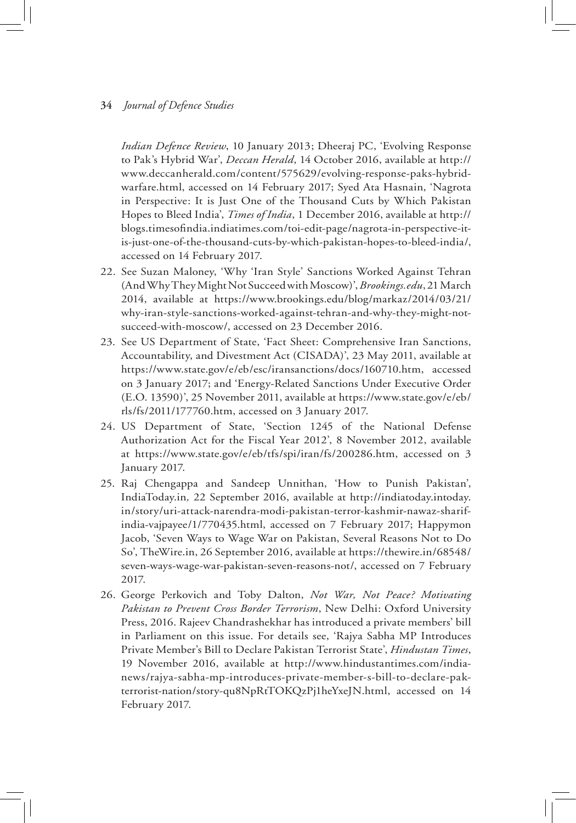*Indian Defence Review*, 10 January 2013; Dheeraj PC, 'Evolving Response to Pak's Hybrid War', *Deccan Herald*, 14 October 2016, available at http:// www.deccanherald.com/content/575629/evolving-response-paks-hybridwarfare.html, accessed on 14 February 2017; Syed Ata Hasnain, 'Nagrota in Perspective: It is Just One of the Thousand Cuts by Which Pakistan Hopes to Bleed India', *Times of India*, 1 December 2016, available at http:// blogs.timesofindia.indiatimes.com/toi-edit-page/nagrota-in-perspective-itis-just-one-of-the-thousand-cuts-by-which-pakistan-hopes-to-bleed-india/, accessed on 14 February 2017.

- 22. See Suzan Maloney, 'Why 'Iran Style' Sanctions Worked Against Tehran (And Why They Might Not Succeed with Moscow)', *Brookings.edu*, 21 March 2014, available at https://www.brookings.edu/blog/markaz/2014/03/21/ why-iran-style-sanctions-worked-against-tehran-and-why-they-might-notsucceed-with-moscow/, accessed on 23 December 2016.
- 23. See US Department of State, 'Fact Sheet: Comprehensive Iran Sanctions, Accountability, and Divestment Act (CISADA)', 23 May 2011, available at https://www.state.gov/e/eb/esc/iransanctions/docs/160710.htm, accessed on 3 January 2017; and 'Energy-Related Sanctions Under Executive Order (E.O. 13590)', 25 November 2011, available at https://www.state.gov/e/eb/ rls/fs/2011/177760.htm, accessed on 3 January 2017.
- 24. US Department of State, 'Section 1245 of the National Defense Authorization Act for the Fiscal Year 2012', 8 November 2012, available at https://www.state.gov/e/eb/tfs/spi/iran/fs/200286.htm, accessed on 3 January 2017.
- 25. Raj Chengappa and Sandeep Unnithan, 'How to Punish Pakistan', IndiaToday.in*,* 22 September 2016, available at http://indiatoday.intoday. in/story/uri-attack-narendra-modi-pakistan-terror-kashmir-nawaz-sharifindia-vajpayee/1/770435.html, accessed on 7 February 2017; Happymon Jacob, 'Seven Ways to Wage War on Pakistan, Several Reasons Not to Do So', TheWire.in, 26 September 2016, available at https://thewire.in/68548/ seven-ways-wage-war-pakistan-seven-reasons-not/, accessed on 7 February 2017.
- 26. George Perkovich and Toby Dalton, *Not War, Not Peace? Motivating Pakistan to Prevent Cross Border Terrorism*, New Delhi: Oxford University Press, 2016. Rajeev Chandrashekhar has introduced a private members' bill in Parliament on this issue. For details see, 'Rajya Sabha MP Introduces Private Member's Bill to Declare Pakistan Terrorist State', *Hindustan Times*, 19 November 2016, available at http://www.hindustantimes.com/indianews/rajya-sabha-mp-introduces-private-member-s-bill-to-declare-pakterrorist-nation/story-qu8NpRtTOKQzPj1heYxeJN.html, accessed on 14 February 2017.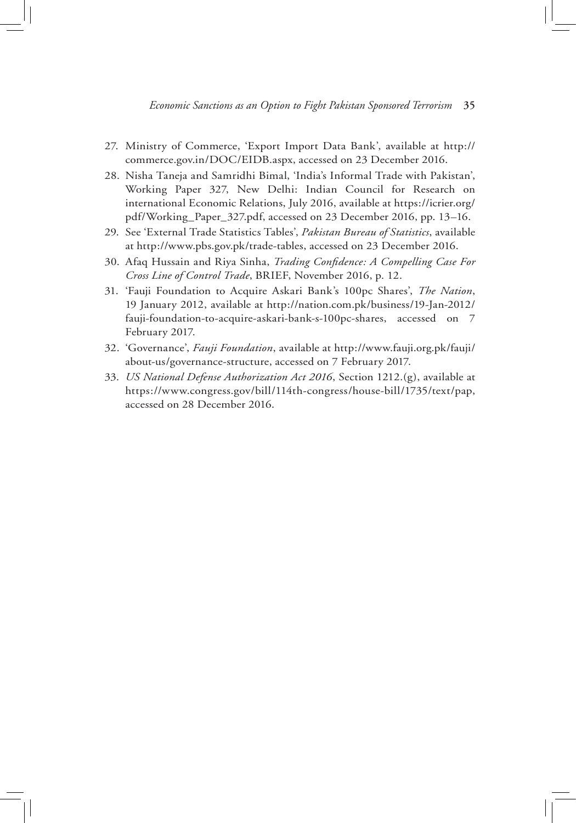- 27. Ministry of Commerce, 'Export Import Data Bank', available at http:// commerce.gov.in/DOC/EIDB.aspx, accessed on 23 December 2016.
- 28. Nisha Taneja and Samridhi Bimal, 'India's Informal Trade with Pakistan', Working Paper 327, New Delhi: Indian Council for Research on international Economic Relations, July 2016, available at https://icrier.org/ pdf/Working\_Paper\_327.pdf, accessed on 23 December 2016, pp. 13–16.
- 29. See 'External Trade Statistics Tables', *Pakistan Bureau of Statistics*, available at http://www.pbs.gov.pk/trade-tables, accessed on 23 December 2016.
- 30. Afaq Hussain and Riya Sinha, *Trading Confidence: A Compelling Case For Cross Line of Control Trade*, BRIEF, November 2016, p. 12.
- 31. 'Fauji Foundation to Acquire Askari Bank's 100pc Shares', *The Nation*, 19 January 2012, available at http://nation.com.pk/business/19-Jan-2012/ fauji-foundation-to-acquire-askari-bank-s-100pc-shares, accessed on 7 February 2017.
- 32. 'Governance', *Fauji Foundation*, available at http://www.fauji.org.pk/fauji/ about-us/governance-structure, accessed on 7 February 2017.
- 33. *US National Defense Authorization Act 2016*, Section 1212.(g), available at https://www.congress.gov/bill/114th-congress/house-bill/1735/text/pap, accessed on 28 December 2016.